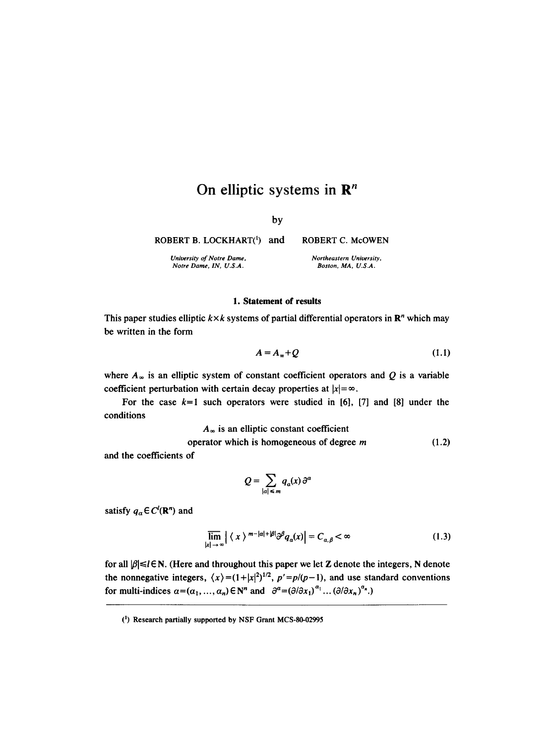# On elliptic systems in  $\mathbb{R}^n$

by

ROBERT B. LOCKHART(<sup>1</sup>) and

*University of Notre Dame, Notre Dame, IN, U.S.A.* 

# **1. Statement of results**

This paper studies elliptic  $k \times k$  systems of partial differential operators in  $\mathbb{R}^n$  which may be written in the form

$$
A = A_{\infty} + Q \tag{1.1}
$$

where  $A_{\infty}$  is an elliptic system of constant coefficient operators and Q is a variable coefficient perturbation with certain decay properties at  $|x| = \infty$ .

For the case  $k=1$  such operators were studied in [6], [7] and [8] under the conditions

 $A_{\infty}$  is an elliptic constant coefficient

operator which is homogeneous of degree  $m$  (1.2)

and the coefficients of

$$
Q=\sum_{|a|\leq m}q_a(x)\,\partial^a
$$

satisfy  $q_{\alpha} \in C^{l}(\mathbb{R}^{n})$  and

$$
\overline{\lim}_{|x| \to \infty} |\langle x \rangle^{m-|a|+|\beta|} \partial^{\beta} q_a(x)| = C_{a,\beta} < \infty
$$
\n(1.3)

for all  $\beta \leq l \in N$ . (Here and throughout this paper we let Z denote the integers, N denote the nonnegative integers,  $\langle x \rangle = (1 + |x|^2)^{1/2}$ ,  $p' = p/(p-1)$ , and use standard conventions for multi-indices  $a=(\alpha_1,\ldots,\alpha_n)\in \mathbb{N}^n$  and  $\partial^{\alpha}=(\partial/\partial x_1)^{\alpha_1}\ldots(\partial/\partial x_n)^{\alpha_n}$ .)

*Northeastern University, Boston, MA, U.S.A.* 

**ROBERT C.** McOWEN

<sup>(~)</sup> Research partially supported by NSF Grant MCS-80-02995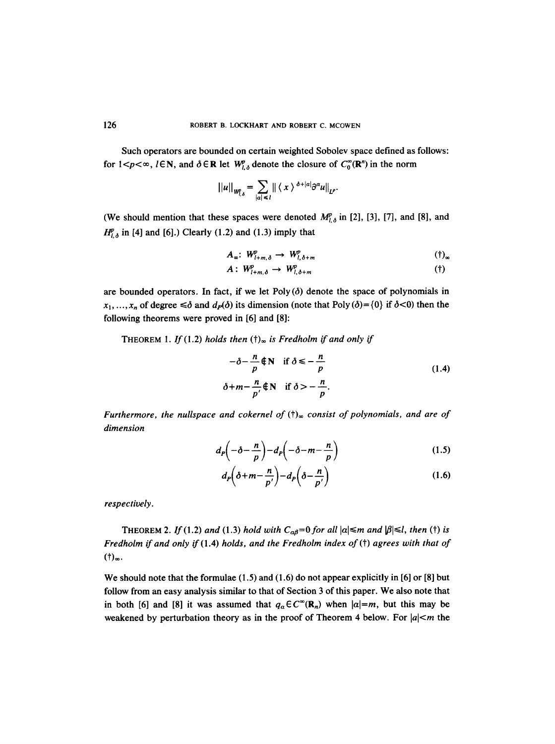Such operators are bounded on certain weighted Sobolev space defined as follows: for  $1 < p < \infty$ ,  $l \in \mathbb{N}$ , and  $\delta \in \mathbb{R}$  let  $W_{l,\delta}^p$  denote the closure of  $C_0^{\infty}(\mathbb{R}^n)$  in the norm

$$
||u||_{W_{l,\delta}^p} = \sum_{|\alpha| \leq l} || \langle x \rangle^{\delta + |\alpha|} \partial^{\alpha} u ||_{L^p}.
$$

(We should mention that these spaces were denoted  $M^{p}_{l,\delta}$  in [2], [3], [7], and [8], and  $H_{l,\delta}^{p}$  in [4] and [6].) Clearly (1.2) and (1.3) imply that

$$
A_{\infty}: W_{l+m,\delta}^p \to W_{l,\delta+m}^p \qquad \qquad (\dagger)_{\infty}
$$

$$
A: W^p_{l+m,\delta} \to W^p_{l,\delta+m} \tag{†}
$$

are bounded operators. In fact, if we let Poly  $(\delta)$  denote the space of polynomials in  $x_1, \ldots, x_n$  of degree  $\leq \delta$  and  $d_P(\delta)$  its dimension (note that Poly  $(\delta) = \{0\}$  if  $\delta \leq 0$ ) then the following theorems were proved in [6] and [8]:

THEOREM 1. If (1.2) holds then  $(t)_{\infty}$  is Fredholm if and only if

$$
-\delta - \frac{n}{p} \notin \mathbb{N} \quad \text{if } \delta \leq -\frac{n}{p}
$$
  
\n
$$
\delta + m - \frac{n}{p'} \notin \mathbb{N} \quad \text{if } \delta > -\frac{n}{p}.
$$
\n(1.4)

*Furthermore, the nullspace and cokernel of (f) consist of polynomials, and are of dimension* 

$$
d_p\left(-\delta - \frac{n}{p}\right) - d_p\left(-\delta - m - \frac{n}{p}\right) \tag{1.5}
$$

$$
d_P\left(\delta + m - \frac{n}{p'}\right) - d_P\left(\delta - \frac{n}{p'}\right) \tag{1.6}
$$

*respectively.* 

THEOREM 2. If (1.2) and (1.3) hold with  $C_{\alpha\beta}=0$  for all  $|\alpha| \leq m$  and  $|\beta| \leq l$ , then (†) is *Fredholm if and only if* (1.4) *holds, and the Fredholm index of (t) agrees with that of*  $(1)_{\infty}$ .

We should note that the formulae  $(1.5)$  and  $(1.6)$  do not appear explicitly in [6] or [8] but follow from an easy analysis similar to that of Section 3 of this paper. We also note that in both [6] and [8] it was assumed that  $q_\alpha \in C^\infty(\mathbb{R}_n)$  when  $|\alpha|=m$ , but this may be weakened by perturbation theory as in the proof of Theorem 4 below. For  $|a| < m$  the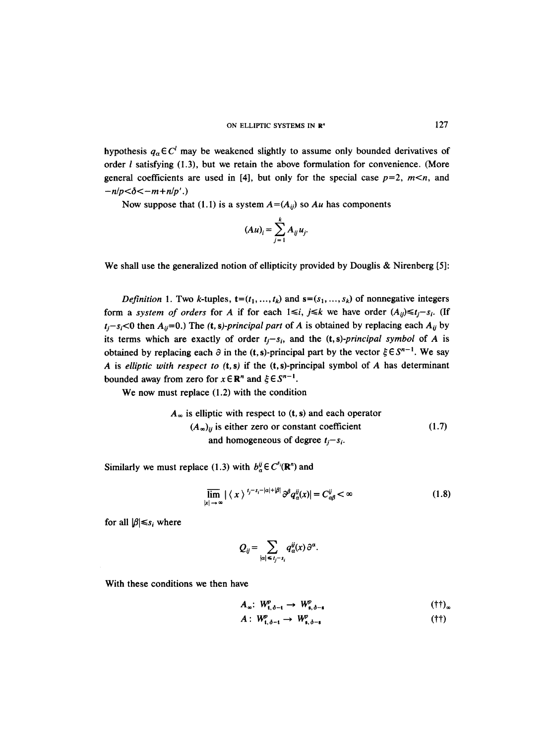hypothesis  $q_a \in \mathbb{C}^l$  may be weakened slightly to assume only bounded derivatives of order  $l$  satisfying (1.3), but we retain the above formulation for convenience. (More general coefficients are used in [4], but only for the special case  $p=2$ ,  $m, and$  $-n/p < \delta < -m+n/p'$ .)

Now suppose that (1.1) is a system  $A = (A_{ii})$  so  $Au$  has components

$$
(Au)_i = \sum_{j=1}^k A_{ij} u_j.
$$

We shall use the generalized notion of ellipticity provided by Douglis & Nirenberg [5]:

*Definition 1.* Two k-tuples,  $t=(t_1, ..., t_k)$  and  $s=(s_1, ..., s_k)$  of nonnegative integers form a *system of orders* for A if for each  $1 \le i$ ,  $j \le k$  we have order  $(A_{ij}) \le t_j - s_i$ . (If  $t_i - s_i < 0$  then  $A_{ij} = 0$ .) The (t, s)-principal part of A is obtained by replacing each  $A_{ij}$  by its terms which are exactly of order  $t_i - s_i$ , and the (t, *s*)-*principal symbol* of A is obtained by replacing each  $\partial$  in the (t, s)-principal part by the vector  $\xi \in S^{n-1}$ . We say A is *elliptic with respect to* (t, s) if the (t, s)-principal symbol of A has determinant bounded away from zero for  $x \in \mathbb{R}^n$  and  $\xi \in S^{n-1}$ .

We now must replace (1.2) with the condition

$$
A_{\infty}
$$
 is elliptic with respect to (t, s) and each operator  
\n $(A_{\infty})_{ij}$  is either zero or constant coefficient  
\nand homogeneous of degree  $t_j - s_i$ . (1.7)

Similarly we must replace (1.3) with  $b^{\ddot{y}}_{\alpha} \in C^{s}(\mathbb{R}^{n})$  and

$$
\overline{\lim}_{|x| \to \infty} |\langle x \rangle^{t_j - s_i - |\alpha| + |\beta|} \partial^{\beta} q_a^{ij}(x)| = C_{\alpha\beta}^{ij} < \infty
$$
\n(1.8)

for all  $|\beta| \leq s_i$  where

$$
Q_{ij}=\sum_{|\alpha|\leq t_j-s_i}q_\alpha^{ij}(x)\partial^\alpha.
$$

With these conditions we then have

$$
A_{\infty}: W_{t,\delta-t}^p \to W_{s,\delta-s}^p \tag{11}_{\infty}
$$

$$
A: W^p_{t, \delta - t} \to W^p_{s, \delta - s} \tag{†}
$$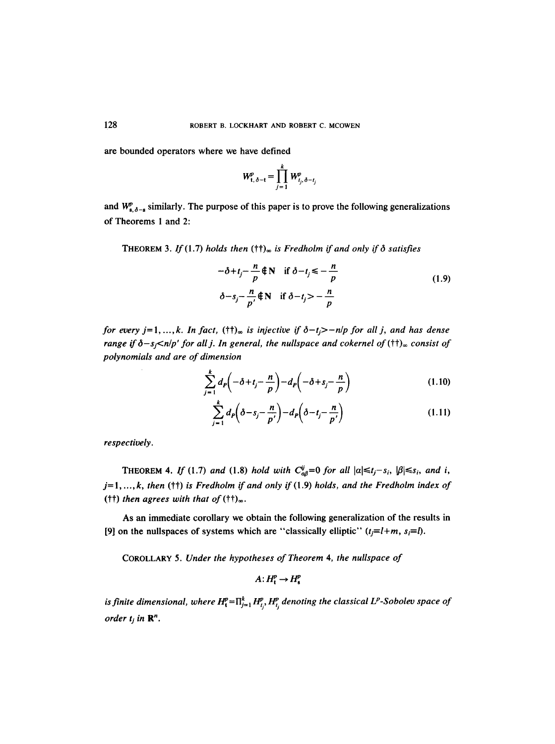are bounded operators where we have defined

$$
W_{t,\delta-t}^p = \prod_{j=1}^k W_{t_j,\delta-t_j}^p
$$

and  $W_{s,\delta-s}^p$  similarly. The purpose of this paper is to prove the following generalizations of Theorems 1 and 2:

THEOREM 3. If (1.7) holds then  $(\dagger)_{\infty}$  is Fredholm if and only if  $\delta$  satisfies

$$
-\delta + t_j - \frac{n}{p} \notin \mathbb{N} \quad \text{if } \delta - t_j \leq -\frac{n}{p}
$$
  

$$
\delta - s_j - \frac{n}{p'} \notin \mathbb{N} \quad \text{if } \delta - t_j > -\frac{n}{p}
$$
 (1.9)

*for every j*=1,..., *k.* In fact,  $(\dagger \dagger)_{\infty}$  is injective if  $\delta - t_i$ >-n/p for all j, and has dense *range if*  $\delta - s_j$ <*n*|p' for all j. In general, the nullspace and cokernel of ( $\dagger\dagger$ )<sub>∞</sub> consist of *polynomials and are of dimension* 

$$
\sum_{j=1}^{k} d_{p} \left( -\delta + t_{j} - \frac{n}{p} \right) - d_{p} \left( -\delta + s_{j} - \frac{n}{p} \right) \tag{1.10}
$$

$$
\sum_{j=1}^{k} d_{p} \left( \delta - s_{j} - \frac{n}{p'} \right) - d_{p} \left( \delta - t_{j} - \frac{n}{p'} \right) \tag{1.11}
$$

*respectively.* 

THEOREM 4. If (1.7) and (1.8) hold with  $C_{\alpha\beta}^{ij}=0$  for all  $|\alpha| \leq t_j - s_i$ ,  $|\beta| \leq s_i$ , and i, j=l *..... k, then (tt) is Fredholm if and only* if (1.9) *holds, and the Fredholm index of*  ( $\uparrow\uparrow$ ) *then agrees with that of* ( $\uparrow\uparrow$ )<sub>∞</sub>.

As an immediate corollary we obtain the following generalization of the results in [9] on the nullspaces of systems which are "classically elliptic"  $(t_j=1+m, s_j=l)$ .

COROLLARY 5. *Under the hypotheses of Theorem 4, the nullspace of* 

 $A: H_t^p \to H_s^p$ 

*is finite dimensional, where*  $H_{\mathfrak{t}}^p = \prod_{j=1}^k H_{t_j}^p$ ,  $H_{t_j}^p$  denoting the classical  $L^p$ -Sobolev space of *order*  $t_j$  *in*  $\mathbb{R}^n$ *.*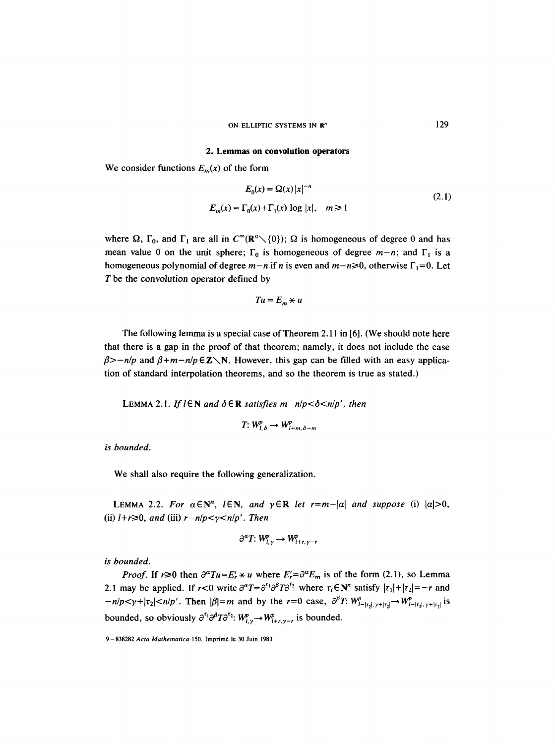#### ON ELLIPTIC SYSTEMS IN R"

#### **2. Lemmas on convolution operators**

We consider functions  $E_m(x)$  of the form

$$
E_0(x) = \Omega(x) |x|^{-n}
$$
  
\n
$$
E_m(x) = \Gamma_0(x) + \Gamma_1(x) \log |x|, \quad m \ge 1
$$
\n(2.1)

where  $\Omega$ ,  $\Gamma_0$ , and  $\Gamma_1$  are all in  $C^{\infty}(\mathbb{R}^n \setminus \{0\})$ ;  $\Omega$  is homogeneous of degree 0 and has mean value 0 on the unit sphere;  $\Gamma_0$  is homogeneous of degree  $m-n$ ; and  $\Gamma_1$  is a homogeneous polynomial of degree  $m-n$  if n is even and  $m-n\geq 0$ , otherwise  $\Gamma_1=0$ . Let T be the convolution operator defined by

$$
Tu = E_m \star u
$$

The following lemma is a special case of Theorem 2.11 in [6]. (We should note here that there is a gap in the proof of that theorem; namely, it does not include the case  $\beta$ >-n/p and  $\beta$ +m-n/p  $\epsilon$ **Z**\N. However, this gap can be filled with an easy application of standard interpolation theorems, and so the theorem is true as stated.)

LEMMA 2.1. *If*  $l \in \mathbb{N}$  and  $\delta \in \mathbb{R}$  satisfies  $m - n/p < \delta < n/p'$ , then

$$
T: W^{p}_{l,\delta} \to W^{p}_{l+m,\delta-m}
$$

*is bounded.* 

We shall also require the following generalization.

LEMMA 2.2. For  $\alpha \in \mathbb{N}^n$ ,  $l \in \mathbb{N}$ , and  $\gamma \in \mathbb{R}$  let  $r=m-|\alpha|$  and suppose (i)  $|\alpha|>0$ , (ii)  $l+r\geq 0$ , and (iii)  $r-n/p < \gamma < n/p'$ . Then

$$
\partial^a T: W^p_{l,\gamma} \to W^p_{l+r,\gamma-r}
$$

*is bounded.* 

*Proof.* If  $r \ge 0$  then  $\partial^a T u = E'_r * u$  where  $E'_r = \partial^a E_m$  is of the form (2.1), so Lemma 2.1 may be applied. If  $r < 0$  write  $\partial^{\alpha}T = \partial^{r_1}\partial^{\beta}T\partial^{r_2}$  where  $\tau_i \in \mathbb{N}^n$  satisfy  $|\tau_1| + |\tau_2| = -r$  and  $-n/p < \gamma + |\tau_2| < n/p'$ . Then  $|\beta|=m$  and by the  $r=0$  case,  $\partial^{\beta} T: W^p_{1-|\tau_2|, \gamma+|\tau_2|} \to W^p_{1-|\tau_2|, \gamma+|\tau_2|}$  is bounded, so obviously  $\partial^{r_1} \partial^{\beta} T \partial^{r_2}$ :  $W_{l,r}^p \rightarrow W_{l+r,r-r}^p$  is bounded.

<sup>9-838282</sup> *Acta Mathematica* 150. Imprim6 le 30 Juin 1983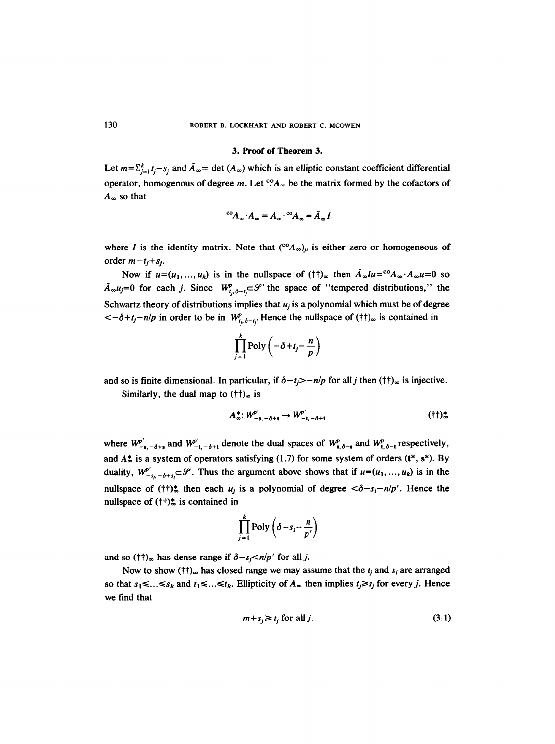### **3. Proof of Theorem 3.**

Let  $m=\sum_{i=1}^k t_i - s_i$  and  $\tilde{A}_{\infty}$  = det  $(A_{\infty})$  which is an elliptic constant coefficient differential operator, homogenous of degree m. Let  ${}^{co}A_{\infty}$  be the matrix formed by the cofactors of  $A_{\infty}$  so that

$$
^{co}A_{\infty}\cdot A_{\infty}=A_{\infty}\cdot {^{co}A_{\infty}}=\tilde{A}_{\infty}I
$$

where I is the identity matrix. Note that  $({}^{\circ}\text{A}_{\infty})_{ji}$  is either zero or homogeneous of order  $m-t_i+s_j$ .

Now if  $u=(u_1, ..., u_k)$  is in the nullspace of (tt)<sub>∞</sub> then  $\tilde{A}_{\infty}Iu = {}^{c_0}A_{\infty}A_{\infty}u = 0$  so  $\tilde{A}_{\infty}u_j=0$  for each j. Since  $W_{t_0,\delta-t}^p\subset\mathcal{S}'$  the space of "tempered distributions," the Schwartz theory of distributions implies that  $u_i$  is a polynomial which must be of degree  $\langle -\delta + t_j - n/p \rangle$  in order to be in  $W^p_{t_i, \delta - t_i}$ . Hence the nullspace of (tt)<sub>∞</sub> is contained in

$$
\prod_{j=1}^k \text{Poly}\left(-\delta + t_j - \frac{n}{p}\right)
$$

and so is finite dimensional. In particular, if  $\delta - t \ge -n/p$  for all j then ( $\dagger \dagger$ )<sub>∞</sub> is injective.

Similarly, the dual map to  $(\dagger\dagger)_{\infty}$  is

$$
A_{\infty}^* \colon W_{-s,-\delta+s}^{p} \to W_{-t,-\delta+t}^{p'} \tag{†\dagger\mathcal{L}}.
$$

where  $W_{-s,-\delta+s}^{p'}$  and  $W_{-t,-\delta+t}^{p'}$  denote the dual spaces of  $W_{s,\delta-s}^{p}$  and  $W_{t,\delta-t}^{p}$  respectively, and  $A_{\infty}^{*}$  is a system of operators satisfying (1.7) for some system of orders ( $t^{*}$ ,  $s^{*}$ ). By duality,  $W^{\rho'}_{-s_{i},-\delta+s_{i}} \subset \mathcal{S}$ . Thus the argument above shows that if  $u=(u_1, ..., u_k)$  is in the nullspace of ( $\uparrow\uparrow\uparrow$ )<sup>\*</sup> then each  $u_j$  is a polynomial of degree  $\langle \delta - s_i - n/p' \rangle$ . Hence the nullspace of  $(\dagger \dagger)$ <sup>\*</sup> is contained in

$$
\prod_{j=1}^k \text{Poly}\left(\delta - s_i - \frac{n}{p'}\right)
$$

and so ( $\uparrow\uparrow$ )<sub>∞</sub> has dense range if  $\delta - s_j < n/p'$  for all j.

Now to show ( $\{\dagger\}$ <sub>∞</sub> has closed range we may assume that the  $t_j$  and  $s_i$  are arranged so that  $s_1 \leq \ldots \leq s_k$  and  $t_1 \leq \ldots \leq t_k$ . Ellipticity of  $A_{\infty}$  then implies  $t_j \geq s_j$  for every j. Hence we find that

$$
m + s_j \ge t_j \text{ for all } j. \tag{3.1}
$$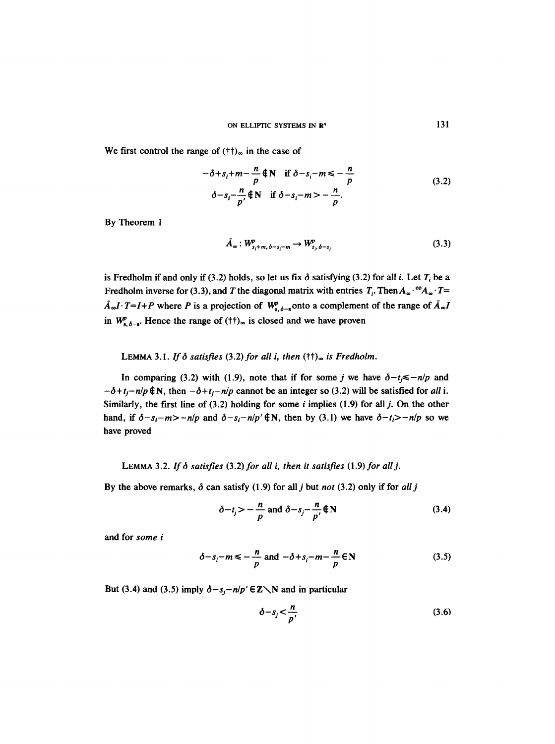We first control the range of  $(\dagger\dagger)_{\infty}$  in the case of

$$
-\delta + s_i + m - \frac{n}{p} \notin \mathbb{N} \quad \text{if } \delta - s_i - m \leq -\frac{n}{p}
$$
  

$$
\delta - s_i - \frac{n}{p} \notin \mathbb{N} \quad \text{if } \delta - s_i - m > -\frac{n}{p}.
$$
 (3.2)

By Theorem 1

$$
\tilde{A}_{\infty}: W_{s_i+m,\delta-s_i-m}^p \to W_{s_i,\delta-s_i}^p \tag{3.3}
$$

is Fredholm if and only if (3.2) holds, so let us fix  $\delta$  satisfying (3.2) for all *i*. Let  $T_i$  be a Fredholm inverse for (3.3), and T the diagonal matrix with entries  $T_i$ . Then  $A_{\infty} \cdot {}^{\circ}A_{\infty} \cdot T=$  $\tilde{A}_{\infty}I \cdot T=I+P$  where P is a projection of  $W_{s,\delta-s}^p$  onto a complement of the range of  $\tilde{A}_{\infty}I$ in  $W_{s,\delta-s}^p$ . Hence the range of  $(\dagger\dagger)_{\infty}$  is closed and we have proven

## LEMMA 3.1. If  $\delta$  satisfies (3.2) for all *i*, then  $(\dagger\dagger)_{\infty}$  is Fredholm.

In comparing (3.2) with (1.9), note that if for some j we have  $\delta - t_i \le -n/p$  and  $-\delta + t_i - n/p \notin N$ , then  $-\delta + t_i - n/p$  cannot be an integer so (3.2) will be satisfied for *all* i. Similarly, the first line of  $(3.2)$  holding for some *i* implies  $(1.9)$  for all *j*. On the other hand, if  $\delta - s_i - m$  > -n/p and  $\delta - s_i - n/p' \notin N$ , then by (3.1) we have  $\delta - t_i$  > -n/p so we have proved

# LEMMA 3.2. If  $\delta$  satisfies (3.2) for all i, then it satisfies (1.9) for all j.

By the above remarks,  $\delta$  can satisfy (1.9) for all *j* but *not* (3.2) only if for *all j* 

$$
\delta - t_j > -\frac{n}{p} \text{ and } \delta - s_j - \frac{n}{p'} \notin \mathbb{N}
$$
 (3.4)

and for *some i* 

$$
\delta - s_i - m \leq -\frac{n}{p} \text{ and } -\delta + s_i - m - \frac{n}{p} \in \mathbb{N}
$$
 (3.5)

But (3.4) and (3.5) imply  $\delta - s_i - n/p' \in \mathbb{Z} \setminus \mathbb{N}$  and in particular

$$
\delta - s_j < \frac{n}{p'}\tag{3.6}
$$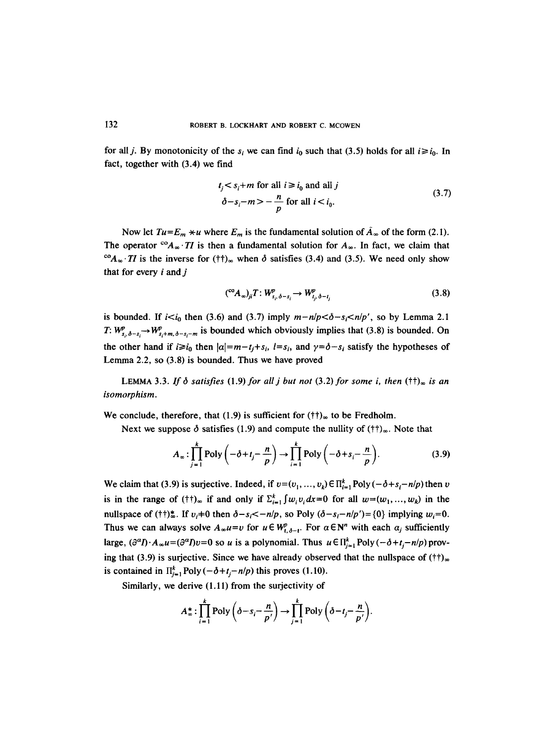for all *j*. By monotonicity of the  $s_i$  we can find  $i_0$  such that (3.5) holds for all  $i \geq i_0$ . In fact, together with (3.4) we find

$$
t_j < s_i + m \text{ for all } i \ge i_0 \text{ and all } j
$$
\n
$$
\delta - s_i - m > -\frac{n}{p} \text{ for all } i < i_0. \tag{3.7}
$$

Now let  $Tu = E_m \times u$  where  $E_m$  is the fundamental solution of  $\tilde{A}_{\infty}$  of the form (2.1). The operator <sup>co</sup> $A_{\infty}$ . *TI* is then a fundamental solution for  $A_{\infty}$ . In fact, we claim that <sup>co</sup> $A_{\infty}$ . *TI* is the inverse for (*i*)<sub> $\infty$ </sub> when  $\delta$  satisfies (3.4) and (3.5). We need only show that for every  $i$  and  $j$ 

$$
({}^{\mathrm{co}}A_{\infty})_{ji}T:W_{s_i,\delta-s_i}^p\to W_{t_i,\delta-t_i}^p\tag{3.8}
$$

is bounded. If  $i < i_0$  then (3.6) and (3.7) imply  $m-n/p < \delta - s_i < n/p'$ , so by Lemma 2.1 *T:*  $W_{s_i,\delta-s_i}^p \rightarrow W_{s_i+m,\delta-s_i-m}^p$  is bounded which obviously implies that (3.8) is bounded. On the other hand if  $i \ge i_0$  then  $|\alpha|=m-t_i+s_i$ ,  $l=s_i$ , and  $\gamma=\delta-s_i$  satisfy the hypotheses of Lemma 2.2, so (3.8) is bounded. Thus we have proved

LEMMA 3.3. If  $\delta$  satisfies (1.9) for all j but not (3.2) for some *i*, then  $(\dagger\dagger)_{\infty}$  is an *isomorphism.* 

We conclude, therefore, that (1.9) is sufficient for  $(\dagger\dagger)_{\infty}$  to be Fredholm.

Next we suppose  $\delta$  satisfies (1.9) and compute the nullity of ( $\uparrow\uparrow$ )<sub>∞</sub>. Note that

$$
A_{\infty} : \prod_{j=1}^{k} \text{Poly}\left(-\delta + t_{j} - \frac{n}{p}\right) \to \prod_{i=1}^{k} \text{Poly}\left(-\delta + s_{i} - \frac{n}{p}\right). \tag{3.9}
$$

We claim that (3.9) is surjective. Indeed, if  $v = (v_1, ..., v_k) \in \prod_{i=1}^k \text{Poly}(-\delta + s_i - n/p)$  then v is in the range of (t)<sub>∞</sub> if and only if  $\sum_{i=1}^{k} \int w_i v_i dx=0$  for all  $w=(w_1, ..., w_k)$  in the nullspace of ( $\uparrow\uparrow$ )\*. If  $v_i\uparrow 0$  then  $\delta - s_i \langle -n/p$ , so Poly  $(\delta - s_i - n/p') = \{0\}$  implying  $w_i = 0$ . Thus we can always solve  $A_{\infty}u=v$  for  $u \in W_{t,\delta-t}^p$ . For  $\alpha \in \mathbb{N}^n$  with each  $\alpha_j$  sufficiently large,  $(\partial^{\alpha} I) \cdot A_{\infty} u = (\partial^{\alpha} I) v = 0$  so u is a polynomial. Thus  $u \in \prod_{i=1}^{k}$  Poly  $(-\delta + t_i - n/p)$  proving that (3.9) is surjective. Since we have already observed that the nullspace of  $(t<sup>†</sup>)_{\infty}$ is contained in  $\prod_{i=1}^{k}$  Poly  $(-\delta+t_{i}-n/p)$  this proves (1.10).

Similarly, we derive (1.11) from the surjectivity of

$$
A_{\infty}^{*}:\prod_{i=1}^{k}\text{Poly}\left(\delta-s_{i}-\frac{n}{p'}\right)\to \prod_{j=1}^{k}\text{Poly}\left(\delta-t_{j}-\frac{n}{p'}\right).
$$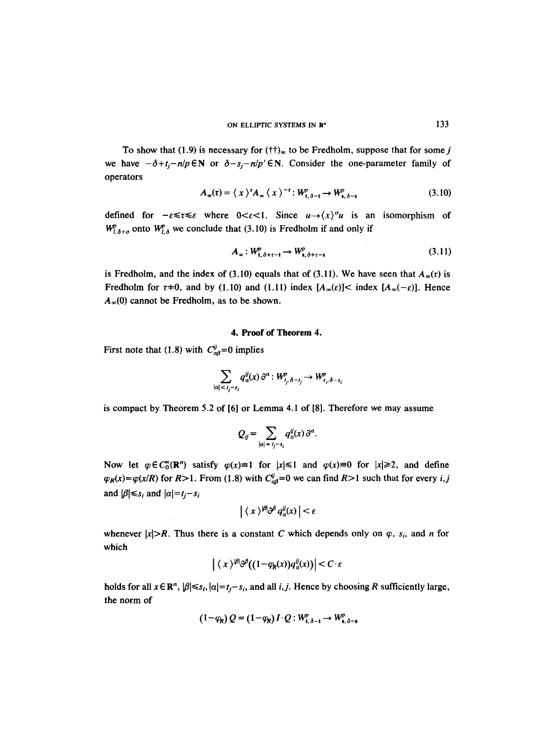To show that (1.9) is necessary for  $(\dagger\dagger)_{\infty}$  to be Fredholm, suppose that for some j we have  $-\delta + t_j - n/p \in \mathbb{N}$  or  $\delta - s_j - n/p' \in \mathbb{N}$ . Consider the one-parameter family of operators

$$
A_{\infty}(t) = \langle x \rangle^{\tau} A_{\infty} \langle x \rangle^{-\tau} : W_{t, \delta - t}^{p} \to W_{s, \delta - s}^{p}
$$
 (3.10)

defined for  $-\varepsilon \leq \tau \leq \varepsilon$  where  $0 \leq \varepsilon \leq 1$ . Since  $u \rightarrow \langle x \rangle^{\sigma} u$  is an isomorphism of  $W^p_{l,\delta+\sigma}$  onto  $W^p_{l,\delta}$  we conclude that (3.10) is Fredholm if and only if

$$
A_{\infty}: W^p_{t,\delta+\tau-t} \to W^p_{s,\delta+\tau-s}
$$
\n
$$
(3.11)
$$

is Fredholm, and the index of (3.10) equals that of (3.11). We have seen that  $A_{\infty}(r)$  is Fredholm for  $\tau$ +0, and by (1.10) and (1.11) index  $[A_{\infty}(\varepsilon)] <$  index  $[A_{\infty}(-\varepsilon)]$ . Hence  $A_{\infty}(0)$  cannot be Fredholm, as to be shown.

## **4. Proof of Theorem 4.**

First note that (1.8) with  $C_{\alpha\beta}^{ij} = 0$  implies

$$
\sum_{|\alpha| < t_j - s_i} q^{\ddot{y}}_{\alpha}(x) \, \partial^{\alpha} : W^p_{t_j, \delta - t_j} \to W^p_{s_i, \delta - s_i}
$$

is compact by Theorem 5.2 of [6] or Lemma 4.1 of [8]. Therefore we may assume

$$
Q_{ij} = \sum_{|\alpha| = t_j - s_i} q_{\alpha}^{ij}(x) \partial^{\alpha}.
$$

Now let  $\varphi \in C_0^{\infty}(\mathbb{R}^n)$  satisfy  $\varphi(x)=1$  for  $|x| \le 1$  and  $\varphi(x)=0$  for  $|x| \ge 2$ , and define  $\varphi_R(x) = \varphi(x/R)$  for R>1. From (1.8) with  $C_{\alpha\beta}^i = 0$  we can find R>1 such that for every *i,j* and  $|\beta| \leq s_i$  and  $|\alpha| = t_j - s_i$ 

$$
\left| \langle x \rangle^{\beta} \partial^{\beta} q_{\alpha}^{ij}(x) \right| < \varepsilon
$$

whenever  $|x|>R$ . Thus there is a constant C which depends only on  $\varphi$ ,  $s_i$ , and *n* for which

$$
\left| \langle x \rangle^{\beta} \partial^{\beta} \big( (1 - \varphi_R(x)) q_\alpha^{\theta}(x) \big) \right| < C \cdot \varepsilon
$$

holds for all  $x \in \mathbb{R}^n$ ,  $|\beta| \leq s_i$ ,  $|\alpha| = t_j - s_i$ , and all *i, j.* Hence by choosing R sufficiently large, the norm of

$$
(1 - \varphi_R) Q = (1 - \varphi_R) I \cdot Q : W_{t, \delta - t}^p \to W_{s, \delta - s}^p
$$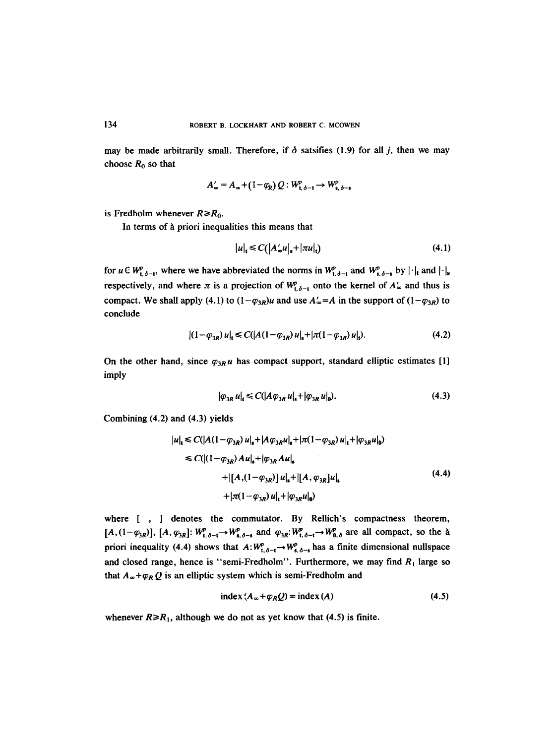may be made arbitrarily small. Therefore, if  $\delta$  satsifies (1.9) for all j, then we may choose  $R_0$  so that

$$
A'_{\infty} = A_{\infty} + (1 - \varphi_R) Q : W_{\mathfrak{t}, \delta - \mathfrak{t}}^p \to W_{\mathfrak{s}, \delta - \mathfrak{s}}^p
$$

is Fredholm whenever  $R \ge R_0$ .

In terms of à priori inequalities this means that

$$
|u|_{t} \leq C(|A'_{\infty}u|_{s} + |\pi u|_{t})
$$
\n
$$
(4.1)
$$

for  $u \in W_{t,\delta-t}^p$ , where we have abbreviated the norms in  $W_{t,\delta-t}^p$  and  $W_{s,\delta-s}^p$  by  $|\cdot|_t$  and  $|\cdot|_s$ respectively, and where  $\pi$  is a projection of  $W_{t,\delta-t}^p$  onto the kernel of  $A'_\infty$  and thus is compact. We shall apply (4.1) to  $(1-\varphi_{3R})u$  and use  $A'_\infty = A$  in the support of  $(1-\varphi_{3R})$  to conclude

$$
|(1-\varphi_{3R})u|_{t} \leq C(|A(1-\varphi_{3R})u|_{s}+|\pi(1-\varphi_{3R})u|_{t}).
$$
\n(4.2)

On the other hand, since  $\varphi_{3R}u$  has compact support, standard elliptic estimates [1] imply

$$
|\varphi_{3R} u|_{\mathbf{t}} \leq C(|A\varphi_{3R} u|_{\mathbf{s}} + |\varphi_{3R} u|_{\mathbf{0}}). \tag{4.3}
$$

Combining (4.2) and (4.3) yields

$$
|u|_{\mathbf{t}} \leq C(|A(1-\varphi_{3R})u|_{\mathbf{s}} + |A\varphi_{3R}u|_{\mathbf{s}} + |\pi(1-\varphi_{3R})u|_{\mathbf{t}} + |\varphi_{3R}u|_{\mathbf{0}})
$$
  
\n
$$
\leq C(|(1-\varphi_{3R})Au|_{\mathbf{s}} + |\varphi_{3R}Au|_{\mathbf{s}}\n+ |[A,(1-\varphi_{3R})]u|_{\mathbf{s}} + |[A,\varphi_{3R}]u|_{\mathbf{s}}\n+ |\pi(1-\varphi_{3R})u|_{\mathbf{t}} + |\varphi_{3R}u|_{\mathbf{0}})
$$
\n(4.4)

where [ , ] denotes the commutator. By Rellich's compactness theorem,  $[A,(1-\varphi_{3R})]$ ,  $[A,\varphi_{3R}]$ :  $W^p_{t,\delta-t}\rightarrow W^p_{s,\delta-s}$  and  $\varphi_{3R}:W^p_{t,\delta-t}\rightarrow W^p_{0,\delta}$  are all compact, so the à priori inequality (4.4) shows that  $A:W^p_{t,\delta-t}\to W^p_{s,\delta-s}$  has a finite dimensional nullspace and closed range, hence is "semi-Fredholm". Furthermore, we may find  $R_1$  large so that  $A_{\infty} + \varphi_R Q$  is an elliptic system which is semi-Fredholm and

$$
index (A_{\infty} + \varphi_R Q) = index (A)
$$
 (4.5)

whenever  $R \ge R_1$ , although we do not as yet know that (4.5) is finite.